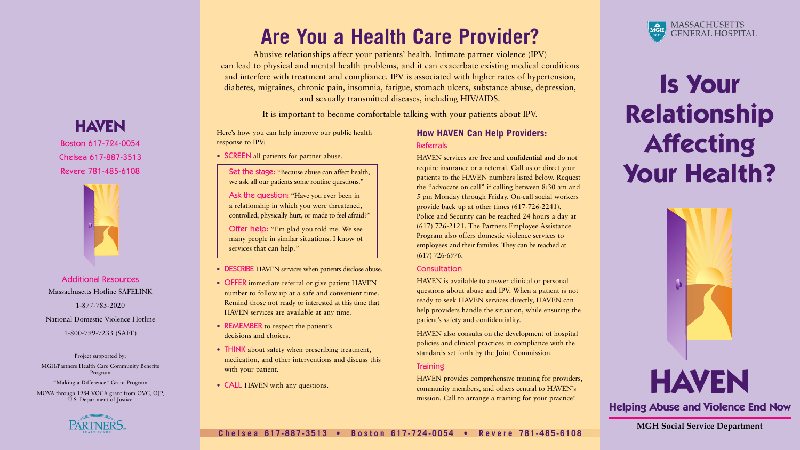# **Is Your Relationship Affecting Your Health?**

## **Are You a Health Care Provider?**

Abusive relationships affect your patients' health. Intimate partner violence (IPV) can lead to physical and mental health problems, and it can exacerbate existing medical conditions and interfere with treatment and compliance. IPV is associated with higher rates of hypertension, diabetes, migraines, chronic pain, insomnia, fatigue, stomach ulcers, substance abuse, depression, and sexually transmitted diseases, including HIV/AIDS.

- **SCREEN** all patients for partner abuse.
	- Set the stage: "Because abuse can affect health, we ask all our patients some routine questions."
	- Ask the question: "Have you ever been in a relationship in which you were threatened, controlled, physically hurt, or made to feel afraid?"

It is important to become comfortable talking with your patients about IPV.

Here's how you can help improve our public health response to IPV:

Offer help: "I'm glad you told me. We see many people in similar situations. I know of services that can help."

- DESCRIBE HAVEN services when patients disclose abuse.
- **OFFER** immediate referral or give patient HAVEN number to follow up at a safe and convenient time. Remind those not ready or interested at this time that HAVEN services are available at any time.
- REMEMBER to respect the patient's decisions and choices.
- THINK about safety when prescribing treatment, medication, and other interventions and discuss this with your patient.
- **CALL** HAVEN with any questions.

### **How HAVEN Can Help Providers:** Referrals

HAVEN services are **free** and **confidential** and do not require insurance or a referral. Call us or direct your patients to the HAVEN numbers listed below. Request the "advocate on call" if calling between 8:30 am and 5 pm Monday through Friday. On-call social workers provide back up at other times (617-726-2241). Police and Security can be reached 24 hours a day at (617) 726-2121. The Partners Employee Assistance Program also offers domestic violence services to employees and their families. They can be reached at (617) 726-6976.

#### **Consultation**

HAVEN is available to answer clinical or personal questions about abuse and IPV. When a patient is not ready to seek HAVEN services directly, HAVEN can help providers handle the situation, while ensuring the patient's safety and confidentiality.

HAVEN also consults on the development of hospital policies and clinical practices in compliance with the standards set forth by the Joint Commission.

#### **Training**

HAVEN provides comprehensive training for providers, community members, and others central to HAVEN's mission. Call to arrange a training for your practice!

## **HAVEN**

Boston 617-724-0054 Chelsea 617-887-3513 Revere 781-485-6108



### Additional Resources Massachusetts Hotline SAFELINK 1-877-785-2020

National Domestic Violence Hotline

1-800-799-7233 (SAFE)

Project supported by:

MGH/Partners Health Care Community Benefits Program

"Making a Difference" Grant Program

MOVA through 1984 VOCA grant from OVC, OJP, U.S. Department of Justice





### **Helping Abuse and Violence End Now**